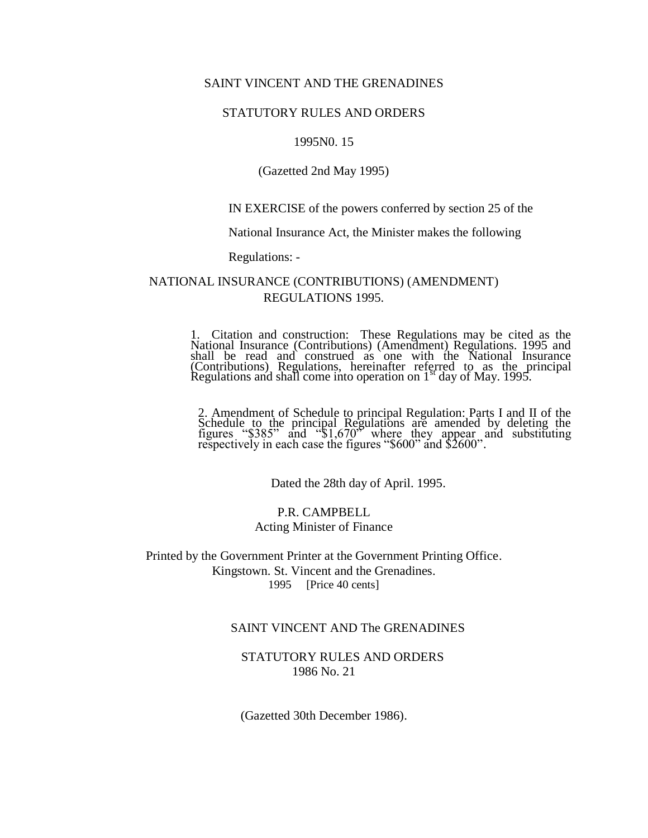## SAINT VINCENT AND THE GRENADINES

### STATUTORY RULES AND ORDERS

#### 1995N0. 15

#### (Gazetted 2nd May 1995)

## IN EXERCISE of the powers conferred by section 25 of the

## National Insurance Act, the Minister makes the following

Regulations: -

## NATIONAL INSURANCE (CONTRIBUTIONS) (AMENDMENT) REGULATIONS 1995.

1. Citation and construction: These Regulations may be cited as the National Insurance (Contributions) (Amendment) Regulations. 1995 and shall be read and construed as one with the National Insurance (Contributions) Regulations, hereinafter referred to as the principal Regulations and shall come into operation on  $1<sup>st</sup>$  day of May. 1995.

2. Amendment of Schedule to principal Regulation: Parts I and II of the Schedule to the principal Regulations are amended by deleting the figures " $$385"$  and " $$1,670"$  where they appear and substituting respectively in each case the figures "\$600" and \$2600".

Dated the 28th day of April. 1995.

## P.R. CAMPBELL Acting Minister of Finance

Printed by the Government Printer at the Government Printing Office. Kingstown. St. Vincent and the Grenadines. 1995 [Price 40 cents]

## SAINT VINCENT AND The GRENADINES

## STATUTORY RULES AND ORDERS 1986 No. 21

(Gazetted 30th December 1986).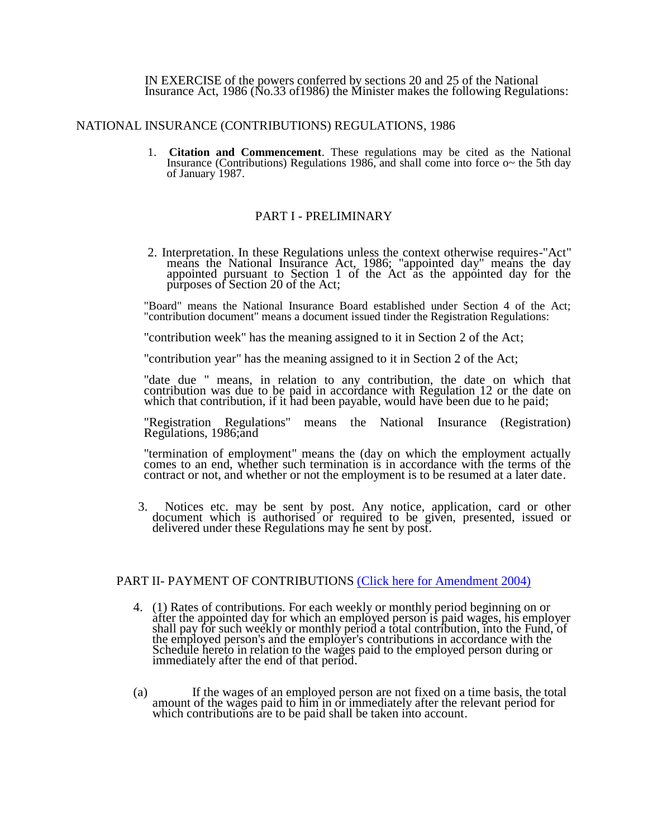IN EXERCISE of the powers conferred by sections 20 and 25 of the National Insurance Act, 1986 (No.33 of1986) the Minister makes the following Regulations:

#### NATIONAL INSURANCE (CONTRIBUTIONS) REGULATIONS, 1986

1. **Citation and Commencement**. These regulations may be cited as the National Insurance (Contributions) Regulations 1986, and shall come into force o~ the 5th day of January 1987.

## PART I - PRELIMINARY

2. Interpretation. In these Regulations unless the context otherwise requires-"Act" means the National Insurance Act, 1986; "appointed day" means the day appointed pursuant to Section 1 of the Act as the appointed day for the purposes of Section 20 of the Act;

"Board" means the National Insurance Board established under Section 4 of the Act; "contribution document" means a document issued tinder the Registration Regulations:

"contribution week" has the meaning assigned to it in Section 2 of the Act;

"contribution year" has the meaning assigned to it in Section 2 of the Act;

"date due " means, in relation to any contribution, the date on which that contribution was due to be paid in accordance with Regulation 12 or the date on which that contribution, if it had been payable, would have been due to he paid;

"Registration Regulations" means the National Insurance (Registration) Regulations, 1986;and

"termination of employment" means the (day on which the employment actually comes to an end, whether such termination is in accordance with the terms of the contract or not, and whether or not the employment is to be resumed at a later date.

3. Notices etc. may be sent by post. Any notice, application, card or other document which is authorised or required to be given, presented, issued or delivered under these Regulations may he sent by post.

## PART II- PAYMENT OF CONTRIBUTIONS [\(Click here for Amendment 2004\)](http://old.nissvg.org/laws/contribute_amend.htm#regulation4)

- 4. (1) Rates of contributions. For each weekly or monthly period beginning on or after the appointed day for which an employed person is paid wages, his employer shall pay for such weekly or monthly period a total contribution, into the Fund, of the employed person's and the employer's contributions in accordance with the Schedule hereto in relation to the wages paid to the employed person during or immediately after the end of that period.
- (a) If the wages of an employed person are not fixed on a time basis, the total amount of the wages paid to him in or immediately after the relevant period for which contributions are to be paid shall be taken into account.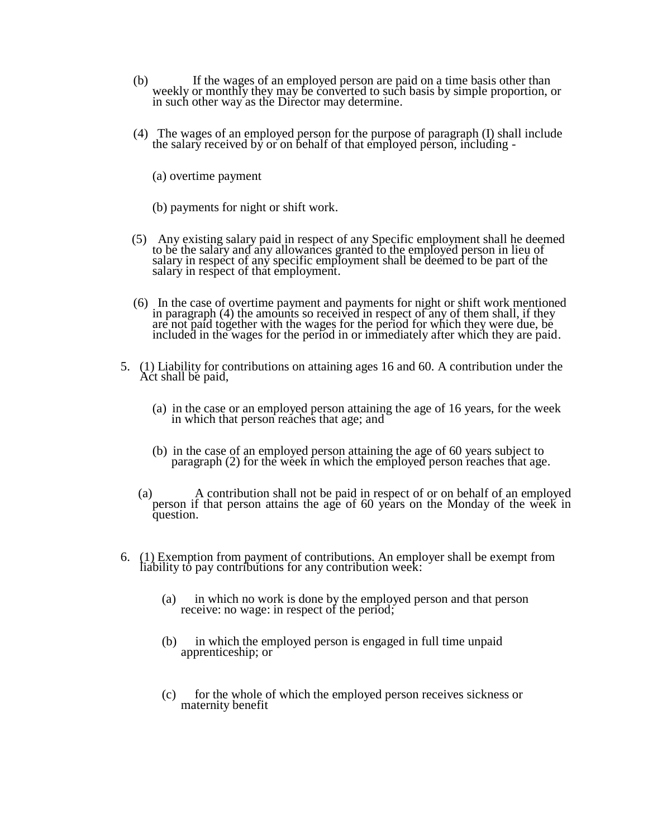- (b) If the wages of an employed person are paid on a time basis other than weekly or monthly they may be converted to such basis by simple proportion, or in such other way as the Director may determine.
- (4) The wages of an employed person for the purpose of paragraph (I) shall include the salary received by or on behalf of that employed person, including -
	- (a) overtime payment
	- (b) payments for night or shift work.
- (5) Any existing salary paid in respect of any Specific employment shall he deemed to be the salary and any allowances granted to the employed person in lieu of salary in respect of any specific employment shall be deemed to be part of the salary in respect of that employment.
- (6) In the case of overtime payment and payments for night or shift work mentioned in paragraph (4) the amounts so received in respect of any of them shall, if they are not paid together with the wages for the period for which they were due, be included in the wages for the period in or immediately after which they are paid.
- 5. (1) Liability for contributions on attaining ages 16 and 60. A contribution under the Act shall be paid,
	- (a) in the case or an employed person attaining the age of 16 years, for the week in which that person reaches that age; and
	- (b) in the case of an employed person attaining the age of 60 years subject to paragraph (2) for the week in which the employed person reaches that age.
	- (a) A contribution shall not be paid in respect of or on behalf of an employed person if that person attains the age of 60 years on the Monday of the week in question.
- 6. (1) Exemption from payment of contributions. An employer shall be exempt from liability to pay contributions for any contribution week:
	- (a) in which no work is done by the employed person and that person receive: no wage: in respect of the period;
	- (b) in which the employed person is engaged in full time unpaid apprenticeship; or
	- (c) for the whole of which the employed person receives sickness or maternity benefit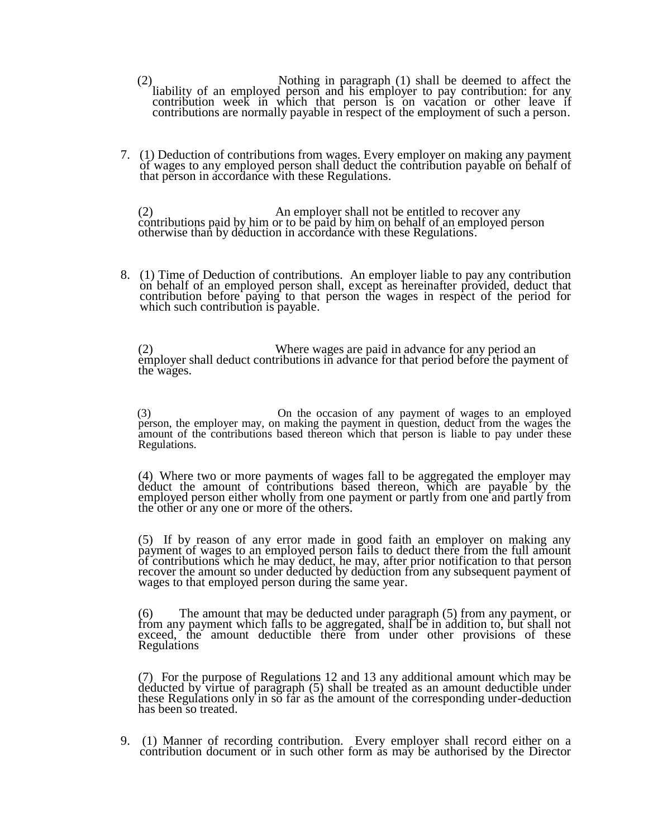- (2) Nothing in paragraph (1) shall be deemed to affect the liability of an employed person and his employer to pay contribution: for any contribution week in which that person is on vacation or other leave if contributions are normally payable in respect of the employment of such a person.
- 7. (1) Deduction of contributions from wages. Every employer on making any payment of wages to any employed person shall deduct the contribution payable on behalf of that person in accordance with these Regulations.

(2) An employer shall not be entitled to recover any contributions paid by him or to be paid by him on behalf of an employed person otherwise than by deduction in accordance with these Regulations.

8. (1) Time of Deduction of contributions. An employer liable to pay any contribution on behalf of an employed person shall, except as hereinafter provided, deduct that contribution before paying to that person the wages in respect of the period for which such contribution is payable.

(2) Where wages are paid in advance for any period an employer shall deduct contributions in advance for that period before the payment of the wages.

(3) On the occasion of any payment of wages to an employed person, the employer may, on making the payment in question, deduct from the wages the amount of the contributions based thereon which that person is liable to pay under these Regulations.

(4) Where two or more payments of wages fall to be aggregated the employer may deduct the amount of contributions based thereon, which are payable by the employed person either wholly from one payment or partly from one and partly from the other or any one or more of the others.

(5) If by reason of any error made in good faith an employer on making any payment of wages to an employed person fails to deduct there from the full amount of contributions which he may deduct, he may, after prior notification to that person recover the amount so under deducted by deduction from any subsequent payment of wages to that employed person during the same year.

(6) The amount that may be deducted under paragraph (5) from any payment, or from any payment which falls to be aggregated, shall be in addition to, but shall not exceed, the amount deductible there from under other provisions of these **Regulations** 

(7) For the purpose of Regulations 12 and 13 any additional amount which may be deducted by virtue of paragraph (5) shall be treated as an amount deductible under these Regulations only in so far as the amount of the corresponding under-deduction has been so treated.

9. (1) Manner of recording contribution. Every employer shall record either on a contribution document or in such other form as may be authorised by the Director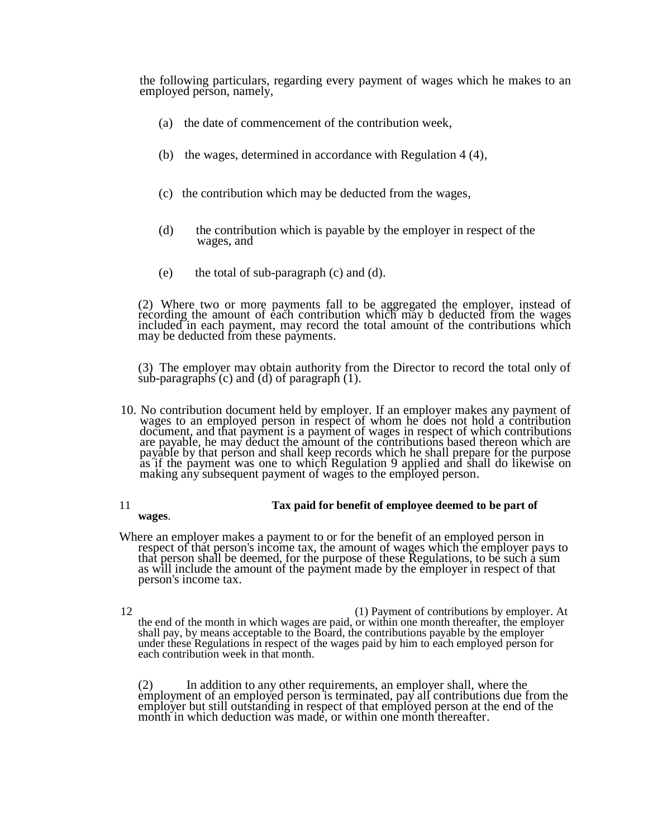the following particulars, regarding every payment of wages which he makes to an employed person, namely,

- (a) the date of commencement of the contribution week,
- (b) the wages, determined in accordance with Regulation 4 (4),
- (c) the contribution which may be deducted from the wages,
- (d) the contribution which is payable by the employer in respect of the wages, and
- (e) the total of sub-paragraph (c) and (d).

(2) Where two or more payments fall to be aggregated the employer, instead of recording the amount of each contribution which may b deducted from the wages included in each payment, may record the total amount of the contributions which may be deducted from these payments.

(3) The employer may obtain authority from the Director to record the total only of sub-paragraphs  $(c)$  and  $(d)$  of paragraph  $(1)$ .

10. No contribution document held by employer. If an employer makes any payment of wages to an employed person in respect of whom he does not hold a contribution document, and that payment is a payment of wages in respect of which contributions are payable, he may deduct the amount of the contributions based thereon which are payable by that person and shall keep records which he shall prepare for the purpose as if the payment was one to which Regulation 9 applied and shall do likewise on making any subsequent payment of wages to the employed person.

#### 11 **Tax paid for benefit of employee deemed to be part of**

**wages**.

Where an employer makes a payment to or for the benefit of an employed person in respect of that person's income tax, the amount of wages which the employer pays to that person shall be deemed, for the purpose of these Regulations, to be such a sum as will include the amount of the payment made by the employer in respect of that person's income tax.

12 (1) Payment of contributions by employer. At the end of the month in which wages are paid, or within one month thereafter, the employer shall pay, by means acceptable to the Board, the contributions payable by the employer under these Regulations in respect of the wages paid by him to each employed person for each contribution week in that month.

(2) In addition to any other requirements, an employer shall, where the employment of an employed person is terminated, pay all contributions due from the employer but still outstanding in respect of that employed person at the end of the month in which deduction was made, or within one month thereafter.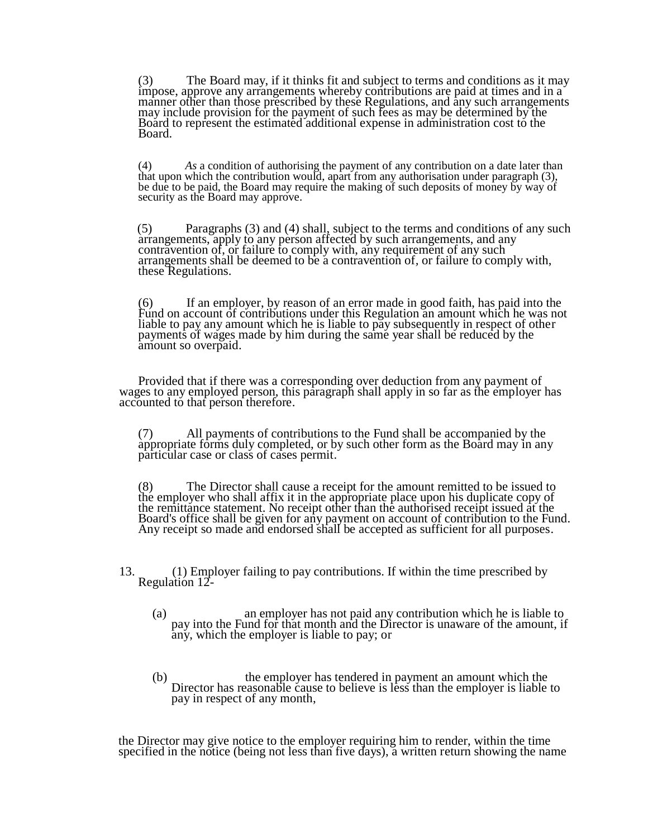(3) The Board may, if it thinks fit and subject to terms and conditions as it may impose, approve any arrangements whereby contributions are paid at times and in a manner other than those prescribed by these Regulations, and any such arrangements may include provision for the payment of such fees as may be determined by the Board to represent the estimated additional expense in administration cost to the Board.

(4) *As* a condition of authorising the payment of any contribution on a date later than that upon which the contribution would, apart from any authorisation under paragraph (3), be due to be paid, the Board may require the making of such deposits of money by way of security as the Board may approve.

(5) Paragraphs (3) and (4) shall, subject to the terms and conditions of any such arrangements, apply to any person affected by such arrangements, and any contravention of, or failure to comply with, any requirement of any such arrangements shall be deemed to be a contravention of*,* or failure to comply with, these Regulations.

(6) If an employer, by reason of an error made in good faith, has paid into the Fund on account of contributions under this Regulation an amount which he was not liable to pay any amount which he is liable to pay subsequently in respect of other payments of wages made by him during the same year shall be reduced by the amount so overpaid.

Provided that if there was a corresponding over deduction from any payment of wages to any employed person, this paragraph shall apply in so far as the employer has accounted to that person therefore.

(7) All payments of contributions to the Fund shall be accompanied by the appropriate forms duly completed, or by such other form as the Board may in any particular case or class of cases permit.

(8) The Director shall cause a receipt for the amount remitted to be issued to the employer who shall affix it in the appropriate place upon his duplicate copy of the remittance statement. No receipt other than the authorised receipt issued at the Board's office shall be given for any payment on account of contribution to the Fund. Any receipt so made and endorsed shall be accepted as sufficient for all purposes.

13. (1) Employer failing to pay contributions. If within the time prescribed by Regulation 12-

- (a) an employer has not paid any contribution which he is liable to pay into the Fund for that month and the Director is unaware of the amount, if any, which the employer is liable to pay; or
- (b) the employer has tendered in payment an amount which the Director has reasonable cause to believe is less than the employer is liable to pay in respect of any month,

the Director may give notice to the employer requiring him to render, within the time specified in the notice (being not less than five days), a written return showing the name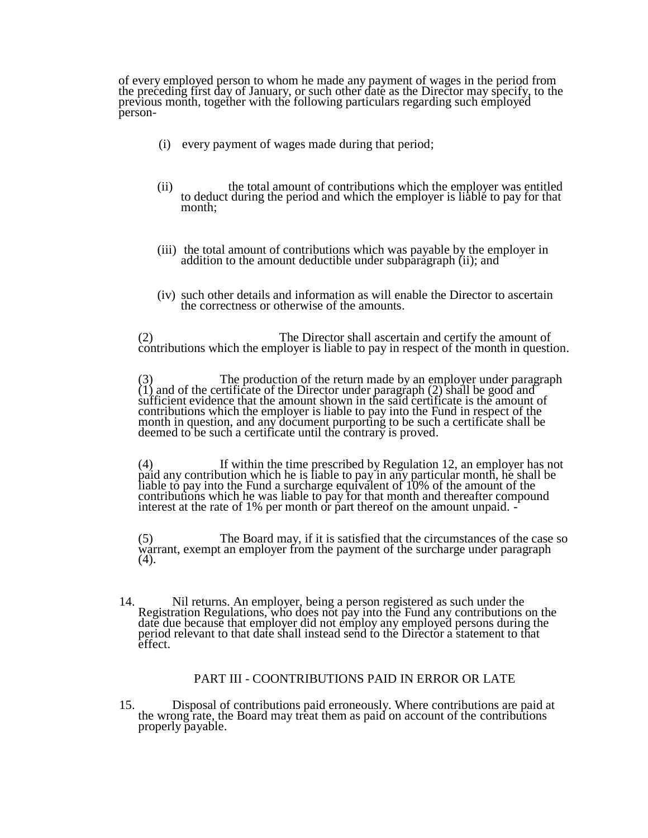of every employed person to whom he made any payment of wages in the period from the preceding first day of January, or such other date as the Director may specify, to the previous month, together with the following particulars regarding such employed person-

- (i) every payment of wages made during that period;
- (ii) the total amount of contributions which the employer was entitled to deduct during the period and which the employer is liable to pay for that month;
- (iii) the total amount of contributions which was payable by the employer in addition to the amount deductible under subparagraph (ii); and
- (iv) such other details and information as will enable the Director to ascertain the correctness or otherwise of the amounts.

(2) The Director shall ascertain and certify the amount of contributions which the employer is liable to pay in respect of the month in question.

(3) The production of the return made by an employer under paragraph  $(1)$  and of the certificate of the Director under paragraph  $(2)$  shall be good and sufficient evidence that the amount shown in the said certificate is the amount of contributions which the employer is liable to pay into the Fund in respect of the month in question, and any document purporting to be such a certificate shall be deemed to be such a certificate until the contrary is proved.

(4) If within the time prescribed by Regulation 12, an employer has not paid any contribution which he is liable to pay in any particular month, he shall be liable to pay into the Fund a surcharge equivalent of 10% of the amount of the contributions which he was liable to pay for that month and thereafter compound interest at the rate of 1% per month or part thereof on the amount unpaid. -

(5) The Board may, if it is satisfied that the circumstances of the case so warrant, exempt an employer from the payment of the surcharge under paragraph  $(4).$ 

14. Nil returns. An employer, being a person registered as such under the Registration Regulations, who does not pay into the Fund any contributions on the date due because that employer did not employ any employed persons during the period relevant to that date shall instead send to the Director a statement to that effect.

#### PART III - COONTRIBUTIONS PAID IN ERROR OR LATE

15. Disposal of contributions paid erroneously. Where contributions are paid at the wrong rate, the Board may treat them as paid on account of the contributions properly payable.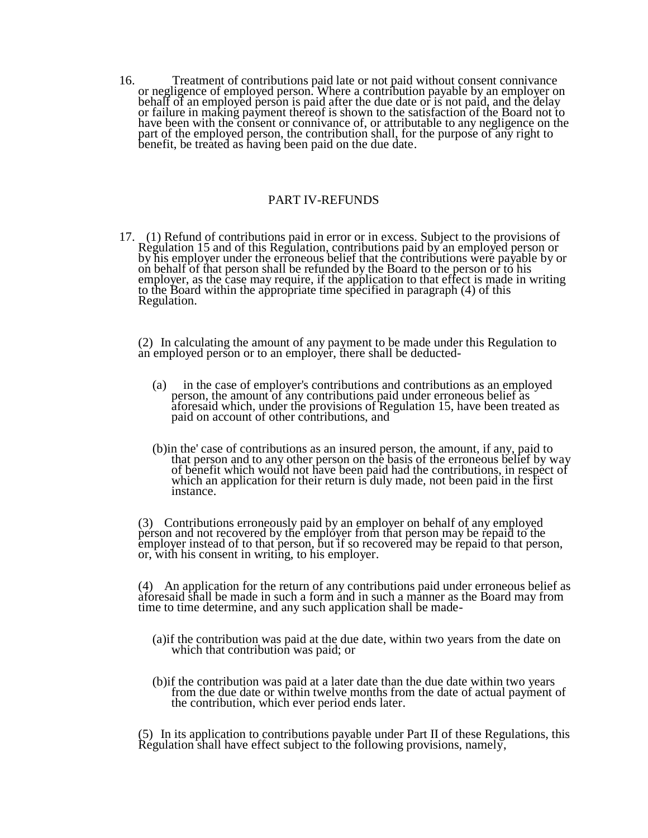16. Treatment of contributions paid late or not paid without consent connivance or negligence of employed person. Where a contribution payable by an employer on behalf of an employed person is paid after the due date or is not paid, and the delay or failure in making payment thereof is shown to the satisfaction of the Board not to have been with the consent or connivance of, or attributable to any negligence on the part of the employed person, the contribution shall, for the purpose of any right to benefit, be treated as having been paid on the due date.

### PART IV-REFUNDS

17. (1) Refund of contributions paid in error or in excess. Subject to the provisions of Regulation 15 and of this Regulation, contributions paid by an employed person or by his employer under the erroneous belief that the contributions were payable by or on behalf of that person shall be refunded by the Board to the person or to his employer, as the case may require, if the application to that effect is made in writing to the Board within the appropriate time specified in paragraph (4) of this Regulation.

(2) In calculating the amount of any payment to be made under this Regulation to an employed person or to an employer, there shall be deducted-

- (a) in the case of employer's contributions and contributions as an employed person, the amount of any contributions paid under erroneous belief as aforesaid which, under the provisions of Regulation 15, have been treated as paid on account of other contributions, and
- (b)in the' case of contributions as an insured person, the amount, if any, paid to that person and to any other person on the basis of the erroneous belief by way of benefit which would not have been paid had the contributions, in respect of which an application for their return is duly made, not been paid in the first instance.

(3) Contributions erroneously paid by an employer on behalf of any employed person and not recovered by the employer from that person may be repaid to the employer instead of to that person, but if so recovered may be repaid to that person, or, with his consent in writing, to his employer.

(4) An application for the return of any contributions paid under erroneous belief as aforesaid shall be made in such a form and in such a manner as the Board may from time to time determine, and any such application shall be made-

- (a)if the contribution was paid at the due date, within two years from the date on which that contribution was paid; or
- (b)if the contribution was paid at a later date than the due date within two years from the due date or within twelve months from the date of actual payment of the contribution, which ever period ends later.

(5) In its application to contributions payable under Part II of these Regulations, this Regulation shall have effect subject to the following provisions, namely,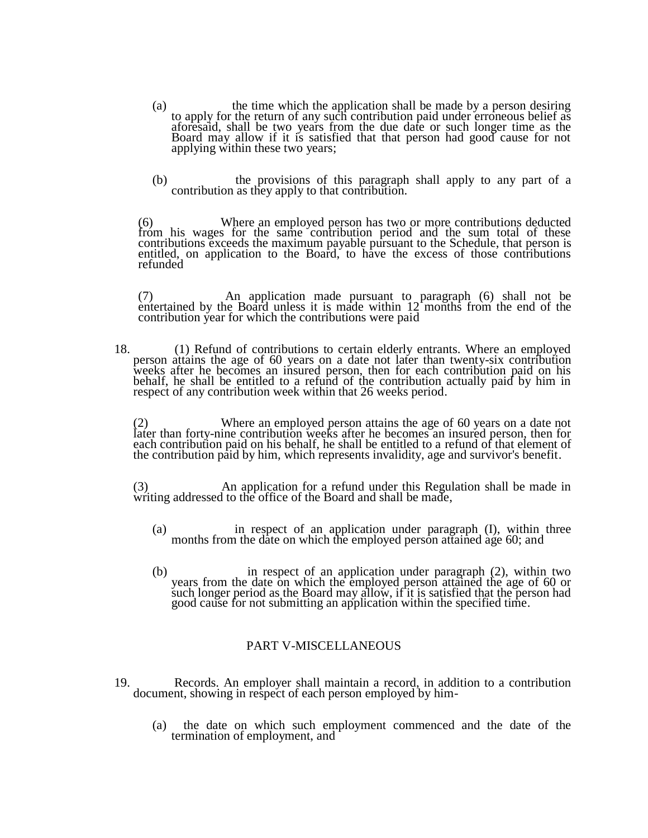- (a) the time which the application shall be made by a person desiring to apply for the return of any such contribution paid under erroneous belief as aforesaid, shall be two years from the due date or such longer time as the Board may allow if it is satisfied that that person had good cause for not applying within these two years;
- (b) the provisions of this paragraph shall apply to any part of a contribution as they apply to that contribution.

(6) Where an employed person has two or more contributions deducted from his wages for the same contribution period and the sum total of these contributions exceeds the maximum payable pursuant to the Schedule, that person is entitled, on application to the Board, to have the excess of those contributions refunded

(7) An application made pursuant to paragraph (6) shall not be entertained by the Board unless it is made within 12 months from the end of the contribution year for which the contributions were paid

18. (1) Refund of contributions to certain elderly entrants. Where an employed person attains the age of 60 years on a date not later than twenty-six contribution weeks after he becomes an insured person, then for each contribution paid on his behalf, he shall be entitled to a refund of the contribution actually paid by him in respect of any contribution week within that 26 weeks period.

(2) Where an employed person attains the age of 60 years on a date not later than forty-nine contribution weeks after he becomes an insured person, then for each contribution paid on his behalf, he shall be entitled to a refund of that element of the contribution paid by him, which represents invalidity, age and survivor's benefit.

(3) An application for a refund under this Regulation shall be made in writing addressed to the office of the Board and shall be made,

- (a) in respect of an application under paragraph (I), within three months from the date on which the employed person attained age 60; and
- (b) in respect of an application under paragraph (2), within two years from the date on which the employed person attained the age of 60 or such longer period as the Board may allow, if it is satisfied that the person had good cause for not submitting an application within the specified time.

## PART V-MISCELLANEOUS

- 19. Records. An employer shall maintain a record, in addition to a contribution document, showing in respect of each person employed by him-
	- (a) the date on which such employment commenced and the date of the termination of employment, and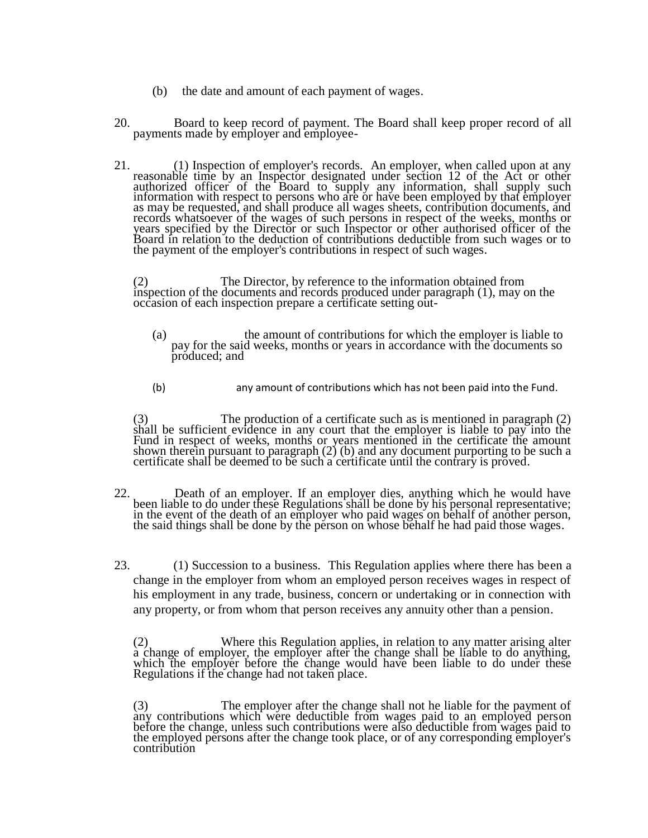- (b) the date and amount of each payment of wages.
- 20. Board to keep record of payment. The Board shall keep proper record of all payments made by employer and employee-
- 21. (1) Inspection of employer's records. An employer, when called upon at any reasonable time by an Inspector designated under section 12 of the Act or other authorized officer of the Board to supply any information, shall supply such information with respect to persons who are or have been employed by that employer as may be requested, and shall produce all wages sheets, contribution documents, and records whatsoever of the wages of such persons in respect of the weeks, months or years specified by the Director or such Inspector or other authorised officer of the Board in relation to the deduction of contributions deductible from such wages or to the payment of the employer's contributions in respect of such wages.

(2) The Director, by reference to the information obtained from inspection of the documents and records produced under paragraph  $(1)$ , may on the occasion of each inspection prepare a certificate setting out-

- (a) the amount of contributions for which the employer is liable to pay for the said weeks, months or years in accordance with the documents so produced; and
- (b) any amount of contributions which has not been paid into the Fund.

(3) The production of a certificate such as is mentioned in paragraph (2) shall be sufficient evidence in any court that the employer is liable to pay into the Fund in respect of weeks, months or years mentioned in the certificate the amount shown therein pursuant to paragraph (2) (b) and any document purporting to be such a certificate shall be deemed to be such a certificate until the contrary is proved.

- 22. Death of an employer. If an employer dies, anything which he would have been liable to do under these Regulations shall be done by his personal representative; in the event of the death of an employer who paid wages on behalf of another person, the said things shall be done by the person on whose behalf he had paid those wages.
- 23. (1) Succession to a business. This Regulation applies where there has been a change in the employer from whom an employed person receives wages in respect of his employment in any trade, business, concern or undertaking or in connection with any property, or from whom that person receives any annuity other than a pension.

(2) Where this Regulation applies, in relation to any matter arising alter a change of employer, the employer after the change shall be liable to do anything, which the employer before the change would have been liable to do under these Regulations if the change had not taken place.

(3) The employer after the change shall not he liable for the payment of any contributions which were deductible from wages paid to an employed person before the change, unless such contributions were also deductible from wages paid to the employed persons after the change took place, or of any corresponding employer's contribution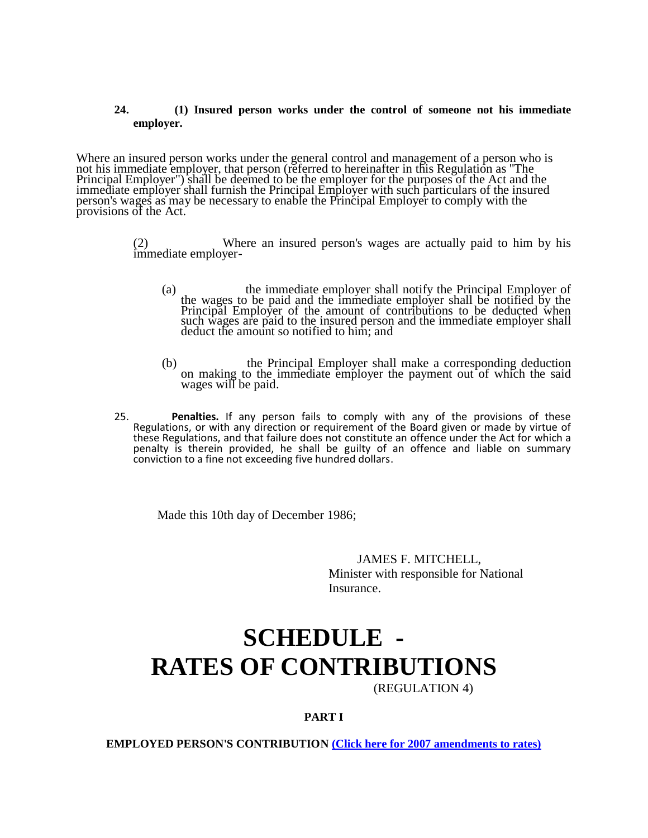#### **24. (1) Insured person works under the control of someone not his immediate employer.**

Where an insured person works under the general control and management of a person who is not his immediate employer, that person (referred to hereinafter in this Regulation as "The Principal Employer") shall be deemed to be the employer for the purposes of the Act and the immediate employer shall furnish the Principal Employer with such particulars of the insured person's wages as may be necessary to enable the Principal Employer to comply with the provisions of the Act.

> (2) Where an insured person's wages are actually paid to him by his immediate employer-

- (a) the immediate employer shall notify the Principal Employer of the wages to be paid and the immediate employer shall be notified by the Principal Employer of the amount of contributions to be deducted when such wages are paid to the insured person and the immediate employer shall deduct the amount so notified to him; and
- (b) the Principal Employer shall make a corresponding deduction on making to the immediate employer the payment out of which the said wages will be paid.
- 25. **Penalties.** If any person fails to comply with any of the provisions of these Regulations, or with any direction or requirement of the Board given or made by virtue of these Regulations, and that failure does not constitute an offence under the Act for which a penalty is therein provided, he shall be guilty of an offence and liable on summary conviction to a fine not exceeding five hundred dollars.

Made this 10th day of December 1986;

JAMES F. MITCHELL, Minister with responsible for National Insurance.

# **SCHEDULE - RATES OF CONTRIBUTIONS**

(REGULATION 4)

**PART I**

**EMPLOYED PERSON'S CONTRIBUTION [\(Click here for 2007 amendments to rates\)](http://old.nissvg.org/laws/contribute_amend2.htm)**